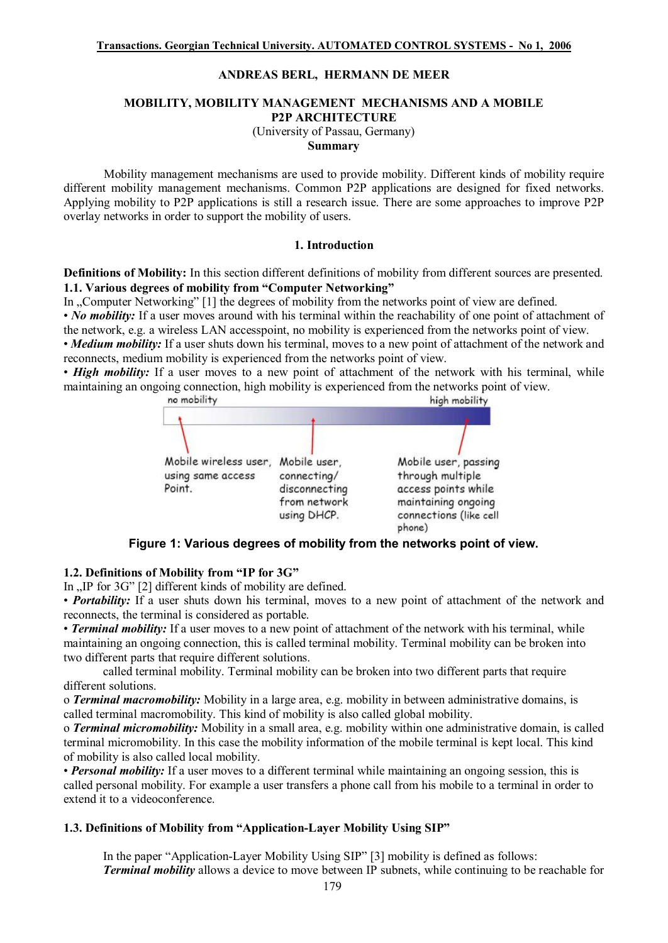## **ANDREAS BERL, HERMANN DE MEER**

#### **MOBILITY, MOBILITY MANAGEMENT MECHANISMS AND A MOBILE P2P ARCHITECTURE**

(University of Passau, Germany)

**Summary** 

Mobility management mechanisms are used to provide mobility. Different kinds of mobility require different mobility management mechanisms. Common P2P applications are designed for fixed networks. Applying mobility to P2P applications is still a research issue. There are some approaches to improve P2P overlay networks in order to support the mobility of users.

#### **1. Introduction**

**Definitions of Mobility:** In this section different definitions of mobility from different sources are presented. **1.1. Various degrees of mobility from "Computer Networking"** 

In "Computer Networking" [1] the degrees of mobility from the networks point of view are defined. • *No* mobility: If a user moves around with his terminal within the reachability of one point of attachment of the network, e.g. a wireless LAN accesspoint, no mobility is experienced from the networks point of view.

• *Medium mobility:* If a user shuts down his terminal, moves to a new point of attachment of the network and reconnects, medium mobility is experienced from the networks point of view.

• *High mobility:* If a user moves to a new point of attachment of the network with his terminal, while maintaining an ongoing connection, high mobility is experienced from the networks point of view.



#### **Figure 1: Various degrees of mobility from the networks point of view.**

#### **1.2. Definitions of Mobility from "IP for 3G"**

In "IP for 3G" [2] different kinds of mobility are defined.

• *Portability:* If a user shuts down his terminal, moves to a new point of attachment of the network and reconnects, the terminal is considered as portable.

• *Terminal mobility:* If a user moves to a new point of attachment of the network with his terminal, while maintaining an ongoing connection, this is called terminal mobility. Terminal mobility can be broken into two different parts that require different solutions.

called terminal mobility. Terminal mobility can be broken into two different parts that require different solutions.

o *Terminal macromobility:* Mobility in a large area, e.g. mobility in between administrative domains, is called terminal macromobility. This kind of mobility is also called global mobility.

o *Terminal micromobility:* Mobility in a small area, e.g. mobility within one administrative domain, is called terminal micromobility. In this case the mobility information of the mobile terminal is kept local. This kind of mobility is also called local mobility.

• *Personal mobility:* If a user moves to a different terminal while maintaining an ongoing session, this is called personal mobility. For example a user transfers a phone call from his mobile to a terminal in order to extend it to a videoconference.

### **1.3. Definitions of Mobility from "Application-Layer Mobility Using SIP"**

In the paper "Application-Layer Mobility Using SIP" [3] mobility is defined as follows: *Terminal mobility* allows a device to move between IP subnets, while continuing to be reachable for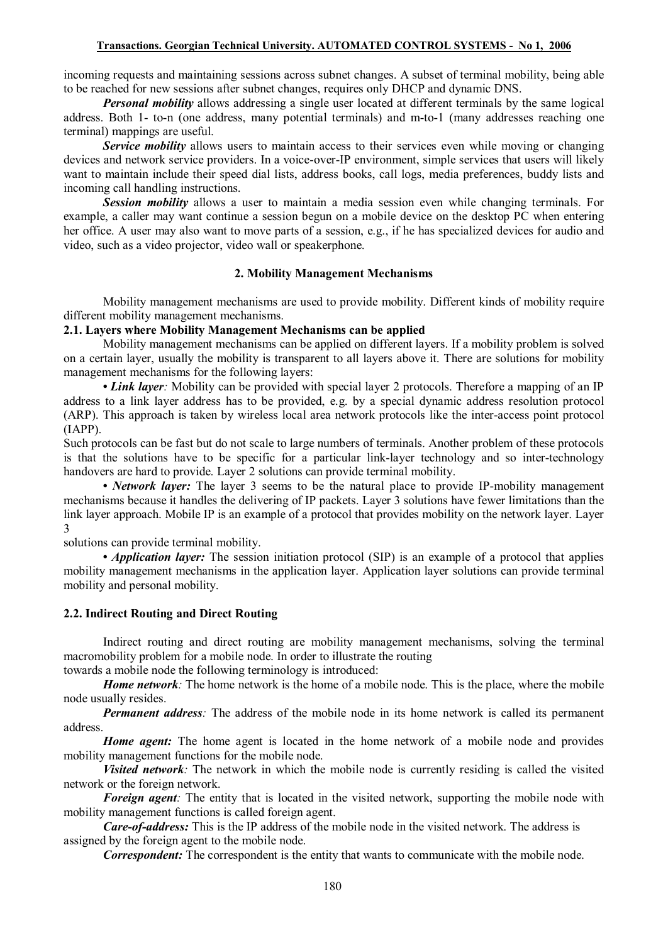### **Transactions. Georgian Technical University. AUTOMATED CONTROL SYSTEMS - No 1, 2006**

incoming requests and maintaining sessions across subnet changes. A subset of terminal mobility, being able to be reached for new sessions after subnet changes, requires only DHCP and dynamic DNS.

*Personal mobility* allows addressing a single user located at different terminals by the same logical address. Both 1- to-n (one address, many potential terminals) and m-to-1 (many addresses reaching one terminal) mappings are useful.

*Service mobility* allows users to maintain access to their services even while moving or changing devices and network service providers. In a voice-over-IP environment, simple services that users will likely want to maintain include their speed dial lists, address books, call logs, media preferences, buddy lists and incoming call handling instructions.

*Session mobility* allows a user to maintain a media session even while changing terminals. For example, a caller may want continue a session begun on a mobile device on the desktop PC when entering her office. A user may also want to move parts of a session, e.g., if he has specialized devices for audio and video, such as a video projector, video wall or speakerphone.

## **2. Mobility Management Mechanisms**

Mobility management mechanisms are used to provide mobility. Different kinds of mobility require different mobility management mechanisms.

# **2.1. Layers where Mobility Management Mechanisms can be applied**

Mobility management mechanisms can be applied on different layers. If a mobility problem is solved on a certain layer, usually the mobility is transparent to all layers above it. There are solutions for mobility management mechanisms for the following layers:

**•** *Link layer:* Mobility can be provided with special layer 2 protocols. Therefore a mapping of an IP address to a link layer address has to be provided, e.g. by a special dynamic address resolution protocol (ARP). This approach is taken by wireless local area network protocols like the inter-access point protocol (IAPP).

Such protocols can be fast but do not scale to large numbers of terminals. Another problem of these protocols is that the solutions have to be specific for a particular link-layer technology and so inter-technology handovers are hard to provide. Layer 2 solutions can provide terminal mobility.

• *Network layer*: The layer 3 seems to be the natural place to provide IP-mobility management mechanisms because it handles the delivering of IP packets. Layer 3 solutions have fewer limitations than the link layer approach. Mobile IP is an example of a protocol that provides mobility on the network layer. Layer 3

solutions can provide terminal mobility.

• *Application layer:* The session initiation protocol (SIP) is an example of a protocol that applies mobility management mechanisms in the application layer. Application layer solutions can provide terminal mobility and personal mobility.

## **2.2. Indirect Routing and Direct Routing**

Indirect routing and direct routing are mobility management mechanisms, solving the terminal macromobility problem for a mobile node. In order to illustrate the routing

towards a mobile node the following terminology is introduced:

*Home network*: The home network is the home of a mobile node. This is the place, where the mobile node usually resides.

*Permanent address:* The address of the mobile node in its home network is called its permanent address.

*Home agent:* The home agent is located in the home network of a mobile node and provides mobility management functions for the mobile node.

*Visited network:* The network in which the mobile node is currently residing is called the visited network or the foreign network.

*Foreign agent:* The entity that is located in the visited network, supporting the mobile node with mobility management functions is called foreign agent.

*Care-of-address:* This is the IP address of the mobile node in the visited network. The address is assigned by the foreign agent to the mobile node.

*Correspondent:* The correspondent is the entity that wants to communicate with the mobile node.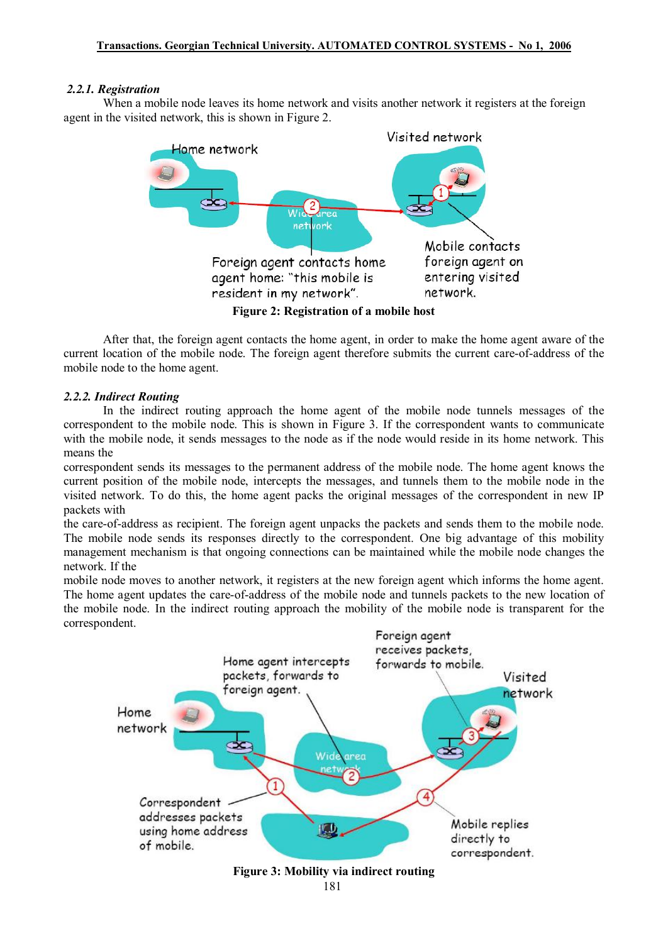## *2.2.1. Registration*

When a mobile node leaves its home network and visits another network it registers at the foreign agent in the visited network, this is shown in Figure 2.



After that, the foreign agent contacts the home agent, in order to make the home agent aware of the current location of the mobile node. The foreign agent therefore submits the current care-of-address of the mobile node to the home agent.

## *2.2.2. Indirect Routing*

In the indirect routing approach the home agent of the mobile node tunnels messages of the correspondent to the mobile node. This is shown in Figure 3. If the correspondent wants to communicate with the mobile node, it sends messages to the node as if the node would reside in its home network. This means the

correspondent sends its messages to the permanent address of the mobile node. The home agent knows the current position of the mobile node, intercepts the messages, and tunnels them to the mobile node in the visited network. To do this, the home agent packs the original messages of the correspondent in new IP packets with

the care-of-address as recipient. The foreign agent unpacks the packets and sends them to the mobile node. The mobile node sends its responses directly to the correspondent. One big advantage of this mobility management mechanism is that ongoing connections can be maintained while the mobile node changes the network. If the

mobile node moves to another network, it registers at the new foreign agent which informs the home agent. The home agent updates the care-of-address of the mobile node and tunnels packets to the new location of the mobile node. In the indirect routing approach the mobility of the mobile node is transparent for the correspondent.

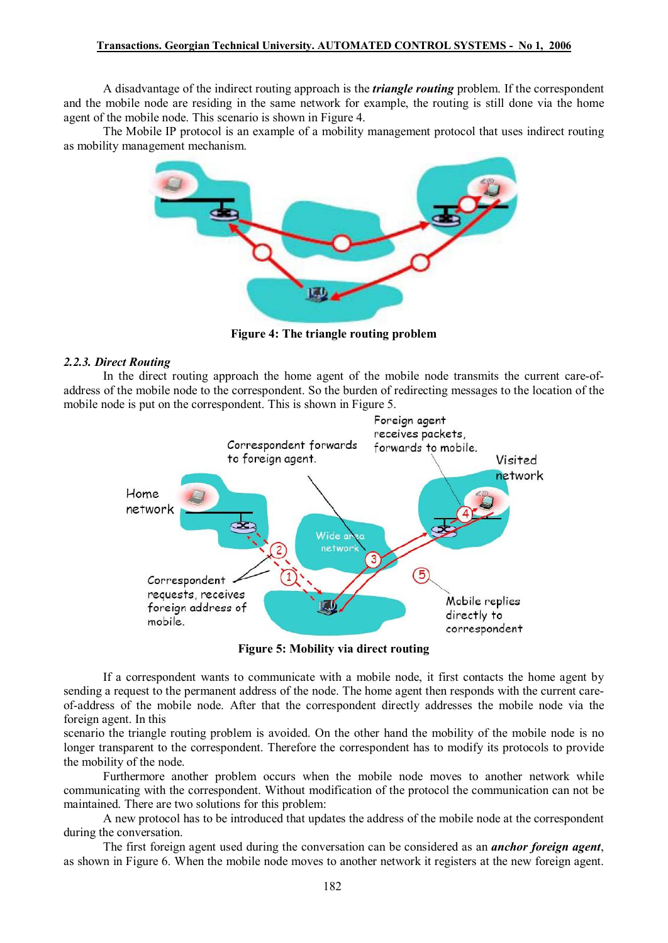A disadvantage of the indirect routing approach is the *triangle routing* problem. If the correspondent and the mobile node are residing in the same network for example, the routing is still done via the home agent of the mobile node. This scenario is shown in Figure 4.

The Mobile IP protocol is an example of a mobility management protocol that uses indirect routing as mobility management mechanism.



**Figure 4: The triangle routing problem**

### *2.2.3. Direct Routing*

In the direct routing approach the home agent of the mobile node transmits the current care-ofaddress of the mobile node to the correspondent. So the burden of redirecting messages to the location of the mobile node is put on the correspondent. This is shown in Figure 5.



**Figure 5: Mobility via direct routing** 

If a correspondent wants to communicate with a mobile node, it first contacts the home agent by sending a request to the permanent address of the node. The home agent then responds with the current careof-address of the mobile node. After that the correspondent directly addresses the mobile node via the foreign agent. In this

scenario the triangle routing problem is avoided. On the other hand the mobility of the mobile node is no longer transparent to the correspondent. Therefore the correspondent has to modify its protocols to provide the mobility of the node.

Furthermore another problem occurs when the mobile node moves to another network while communicating with the correspondent. Without modification of the protocol the communication can not be maintained. There are two solutions for this problem:

A new protocol has to be introduced that updates the address of the mobile node at the correspondent during the conversation.

The first foreign agent used during the conversation can be considered as an *anchor foreign agent*, as shown in Figure 6. When the mobile node moves to another network it registers at the new foreign agent.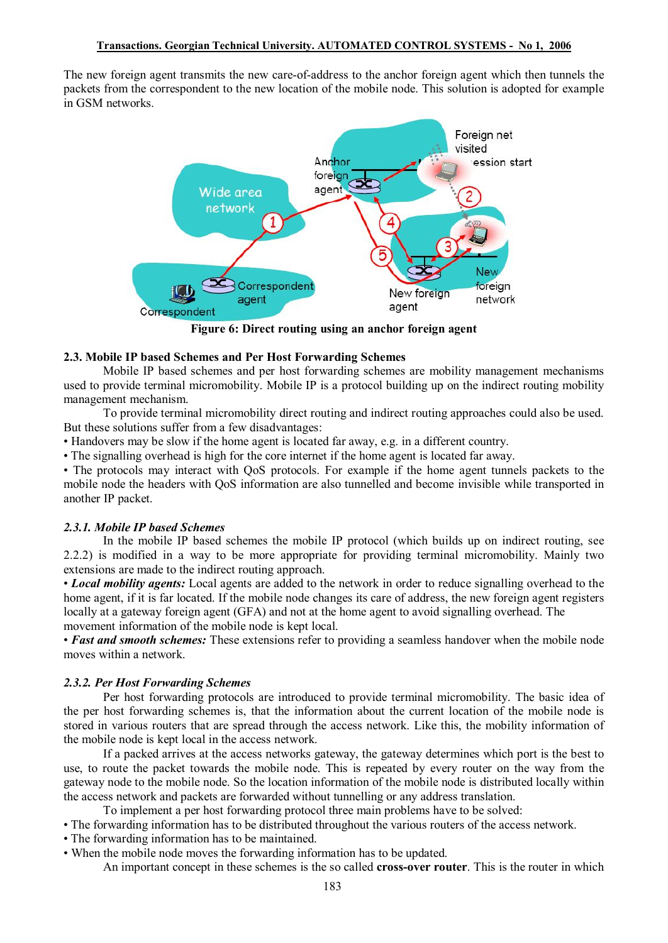The new foreign agent transmits the new care-of-address to the anchor foreign agent which then tunnels the packets from the correspondent to the new location of the mobile node. This solution is adopted for example in GSM networks.



**Figure 6: Direct routing using an anchor foreign agent** 

## **2.3. Mobile IP based Schemes and Per Host Forwarding Schemes**

Mobile IP based schemes and per host forwarding schemes are mobility management mechanisms used to provide terminal micromobility. Mobile IP is a protocol building up on the indirect routing mobility management mechanism.

To provide terminal micromobility direct routing and indirect routing approaches could also be used. But these solutions suffer from a few disadvantages:

• Handovers may be slow if the home agent is located far away, e.g. in a different country.

• The signalling overhead is high for the core internet if the home agent is located far away.

• The protocols may interact with QoS protocols. For example if the home agent tunnels packets to the mobile node the headers with QoS information are also tunnelled and become invisible while transported in another IP packet.

# *2.3.1. Mobile IP based Schemes*

In the mobile IP based schemes the mobile IP protocol (which builds up on indirect routing, see 2.2.2) is modified in a way to be more appropriate for providing terminal micromobility. Mainly two extensions are made to the indirect routing approach.

• *Local mobility agents:* Local agents are added to the network in order to reduce signalling overhead to the home agent, if it is far located. If the mobile node changes its care of address, the new foreign agent registers locally at a gateway foreign agent (GFA) and not at the home agent to avoid signalling overhead. The movement information of the mobile node is kept local.

• *Fast and smooth schemes:* These extensions refer to providing a seamless handover when the mobile node moves within a network.

# *2.3.2. Per Host Forwarding Schemes*

Per host forwarding protocols are introduced to provide terminal micromobility. The basic idea of the per host forwarding schemes is, that the information about the current location of the mobile node is stored in various routers that are spread through the access network. Like this, the mobility information of the mobile node is kept local in the access network.

If a packed arrives at the access networks gateway, the gateway determines which port is the best to use, to route the packet towards the mobile node. This is repeated by every router on the way from the gateway node to the mobile node. So the location information of the mobile node is distributed locally within the access network and packets are forwarded without tunnelling or any address translation.

To implement a per host forwarding protocol three main problems have to be solved:

- The forwarding information has to be distributed throughout the various routers of the access network.
- The forwarding information has to be maintained.
- When the mobile node moves the forwarding information has to be updated.

An important concept in these schemes is the so called **cross-over router**. This is the router in which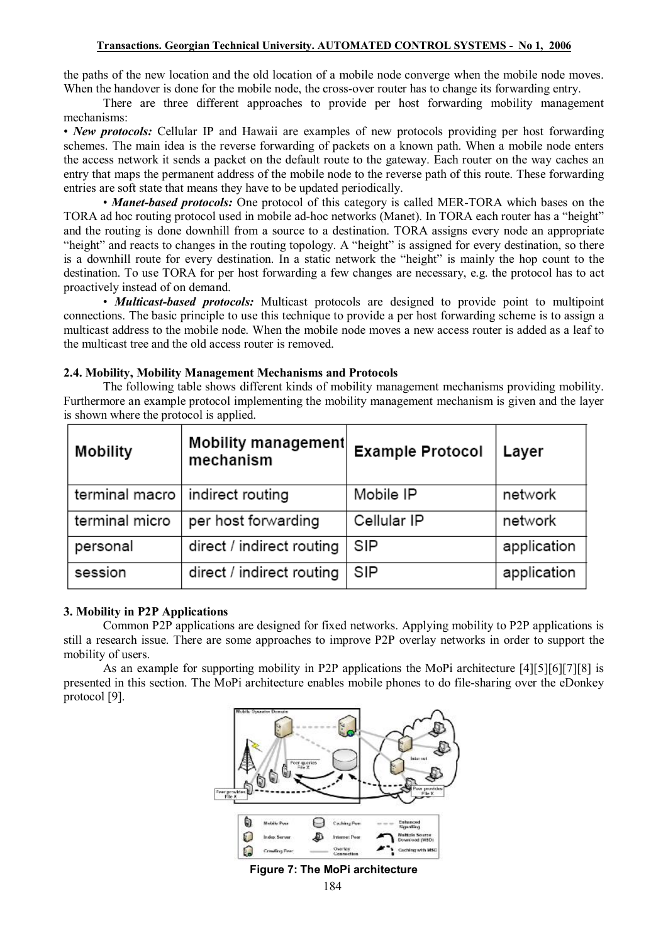### **Transactions. Georgian Technical University. AUTOMATED CONTROL SYSTEMS - No 1, 2006**

the paths of the new location and the old location of a mobile node converge when the mobile node moves. When the handover is done for the mobile node, the cross-over router has to change its forwarding entry.

There are three different approaches to provide per host forwarding mobility management mechanisms:

• *New protocols:* Cellular IP and Hawaii are examples of new protocols providing per host forwarding schemes. The main idea is the reverse forwarding of packets on a known path. When a mobile node enters the access network it sends a packet on the default route to the gateway. Each router on the way caches an entry that maps the permanent address of the mobile node to the reverse path of this route. These forwarding entries are soft state that means they have to be updated periodically.

• *Manet-based protocols:* One protocol of this category is called MER-TORA which bases on the TORA ad hoc routing protocol used in mobile ad-hoc networks (Manet). In TORA each router has a "height" and the routing is done downhill from a source to a destination. TORA assigns every node an appropriate "height" and reacts to changes in the routing topology. A "height" is assigned for every destination, so there is a downhill route for every destination. In a static network the "height" is mainly the hop count to the destination. To use TORA for per host forwarding a few changes are necessary, e.g. the protocol has to act proactively instead of on demand.

• *Multicast-based protocols:* Multicast protocols are designed to provide point to multipoint connections. The basic principle to use this technique to provide a per host forwarding scheme is to assign a multicast address to the mobile node. When the mobile node moves a new access router is added as a leaf to the multicast tree and the old access router is removed.

## **2.4. Mobility, Mobility Management Mechanisms and Protocols**

The following table shows different kinds of mobility management mechanisms providing mobility. Furthermore an example protocol implementing the mobility management mechanism is given and the layer is shown where the protocol is applied.

| Mobility       | Mobility management<br>mechanism | <b>Example Protocol</b> | Layer       |
|----------------|----------------------------------|-------------------------|-------------|
| terminal macro | indirect routing                 | Mobile IP               | network     |
| terminal micro | per host forwarding              | Cellular IP             | network     |
| personal       | direct / indirect routing        | SIP                     | application |
| session        | direct / indirect routing        | SIP                     | application |

# **3. Mobility in P2P Applications**

Common P2P applications are designed for fixed networks. Applying mobility to P2P applications is still a research issue. There are some approaches to improve P2P overlay networks in order to support the mobility of users.

As an example for supporting mobility in P2P applications the MoPi architecture [4][5][6][7][8] is presented in this section. The MoPi architecture enables mobile phones to do file-sharing over the eDonkey protocol [9].



**Figure 7: The MoPi architecture**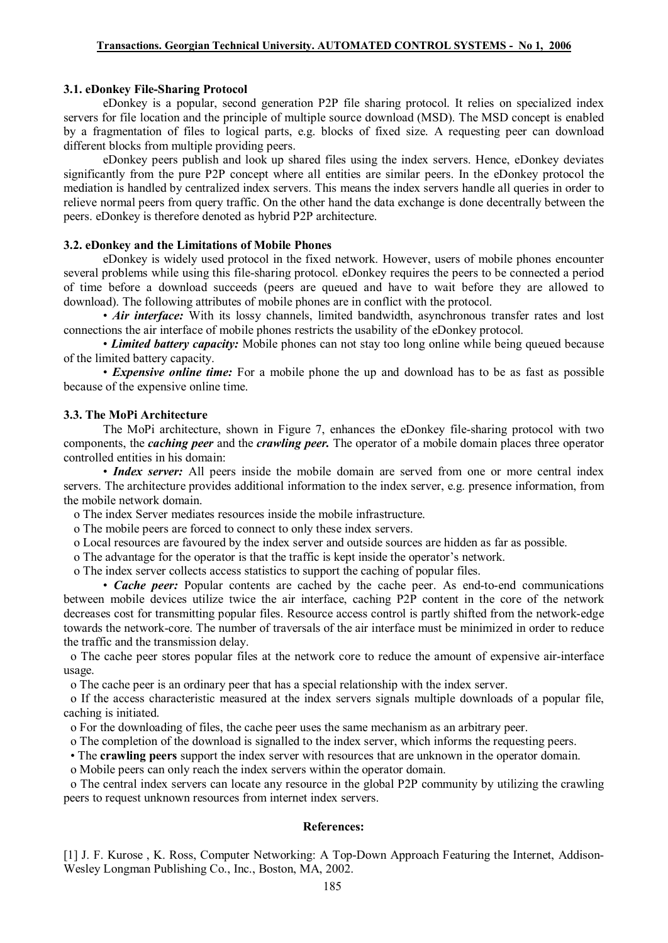### **3.1. eDonkey File-Sharing Protocol**

eDonkey is a popular, second generation P2P file sharing protocol. It relies on specialized index servers for file location and the principle of multiple source download (MSD). The MSD concept is enabled by a fragmentation of files to logical parts, e.g. blocks of fixed size. A requesting peer can download different blocks from multiple providing peers.

eDonkey peers publish and look up shared files using the index servers. Hence, eDonkey deviates significantly from the pure P2P concept where all entities are similar peers. In the eDonkey protocol the mediation is handled by centralized index servers. This means the index servers handle all queries in order to relieve normal peers from query traffic. On the other hand the data exchange is done decentrally between the peers. eDonkey is therefore denoted as hybrid P2P architecture.

### **3.2. eDonkey and the Limitations of Mobile Phones**

eDonkey is widely used protocol in the fixed network. However, users of mobile phones encounter several problems while using this file-sharing protocol. eDonkey requires the peers to be connected a period of time before a download succeeds (peers are queued and have to wait before they are allowed to download). The following attributes of mobile phones are in conflict with the protocol.

• *Air interface:* With its lossy channels, limited bandwidth, asynchronous transfer rates and lost connections the air interface of mobile phones restricts the usability of the eDonkey protocol.

• *Limited battery capacity:* Mobile phones can not stay too long online while being queued because of the limited battery capacity.

• *Expensive online time:* For a mobile phone the up and download has to be as fast as possible because of the expensive online time.

#### **3.3. The MoPi Architecture**

The MoPi architecture, shown in Figure 7, enhances the eDonkey file-sharing protocol with two components, the *caching peer* and the *crawling peer.* The operator of a mobile domain places three operator controlled entities in his domain:

• *Index server:* All peers inside the mobile domain are served from one or more central index servers. The architecture provides additional information to the index server, e.g. presence information, from the mobile network domain.

o The index Server mediates resources inside the mobile infrastructure.

o The mobile peers are forced to connect to only these index servers.

o Local resources are favoured by the index server and outside sources are hidden as far as possible.

o The advantage for the operator is that the traffic is kept inside the operator's network.

o The index server collects access statistics to support the caching of popular files.

• *Cache peer:* Popular contents are cached by the cache peer. As end-to-end communications between mobile devices utilize twice the air interface, caching P2P content in the core of the network decreases cost for transmitting popular files. Resource access control is partly shifted from the network-edge towards the network-core. The number of traversals of the air interface must be minimized in order to reduce the traffic and the transmission delay.

o The cache peer stores popular files at the network core to reduce the amount of expensive air-interface usage.

o The cache peer is an ordinary peer that has a special relationship with the index server.

o If the access characteristic measured at the index servers signals multiple downloads of a popular file, caching is initiated.

o For the downloading of files, the cache peer uses the same mechanism as an arbitrary peer.

o The completion of the download is signalled to the index server, which informs the requesting peers.

• The **crawling peers** support the index server with resources that are unknown in the operator domain.

o Mobile peers can only reach the index servers within the operator domain.

o The central index servers can locate any resource in the global P2P community by utilizing the crawling peers to request unknown resources from internet index servers.

#### **References:**

[1] J. F. Kurose , K. Ross, Computer Networking: A Top-Down Approach Featuring the Internet, Addison-Wesley Longman Publishing Co., Inc., Boston, MA, 2002.